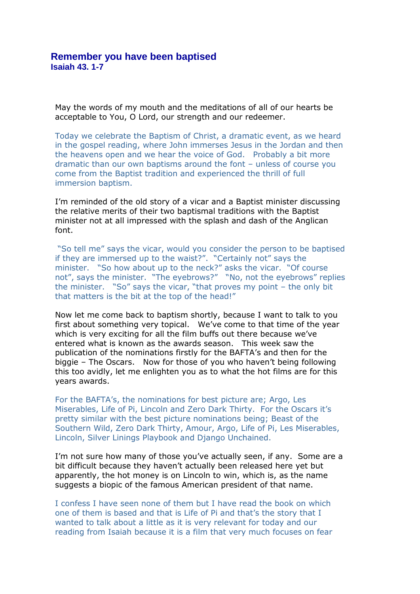May the words of my mouth and the meditations of all of our hearts be acceptable to You, O Lord, our strength and our redeemer.

Today we celebrate the Baptism of Christ, a dramatic event, as we heard in the gospel reading, where John immerses Jesus in the Jordan and then the heavens open and we hear the voice of God. Probably a bit more dramatic than our own baptisms around the font – unless of course you come from the Baptist tradition and experienced the thrill of full immersion baptism.

I'm reminded of the old story of a vicar and a Baptist minister discussing the relative merits of their two baptismal traditions with the Baptist minister not at all impressed with the splash and dash of the Anglican font.

"So tell me" says the vicar, would you consider the person to be baptised if they are immersed up to the waist?". "Certainly not" says the minister. "So how about up to the neck?" asks the vicar. "Of course not", says the minister. "The eyebrows?" "No, not the eyebrows" replies the minister. "So" says the vicar, "that proves my point – the only bit that matters is the bit at the top of the head!"

Now let me come back to baptism shortly, because I want to talk to you first about something very topical. We've come to that time of the year which is very exciting for all the film buffs out there because we've entered what is known as the awards season. This week saw the publication of the nominations firstly for the BAFTA's and then for the biggie – The Oscars. Now for those of you who haven't being following this too avidly, let me enlighten you as to what the hot films are for this years awards.

For the BAFTA's, the nominations for best picture are; Argo, Les Miserables, Life of Pi, Lincoln and Zero Dark Thirty. For the Oscars it's pretty similar with the best picture nominations being; Beast of the Southern Wild, Zero Dark Thirty, Amour, Argo, Life of Pi, Les Miserables, Lincoln, Silver Linings Playbook and Django Unchained.

I'm not sure how many of those you've actually seen, if any. Some are a bit difficult because they haven't actually been released here yet but apparently, the hot money is on Lincoln to win, which is, as the name suggests a biopic of the famous American president of that name.

I confess I have seen none of them but I have read the book on which one of them is based and that is Life of Pi and that's the story that I wanted to talk about a little as it is very relevant for today and our reading from Isaiah because it is a film that very much focuses on fear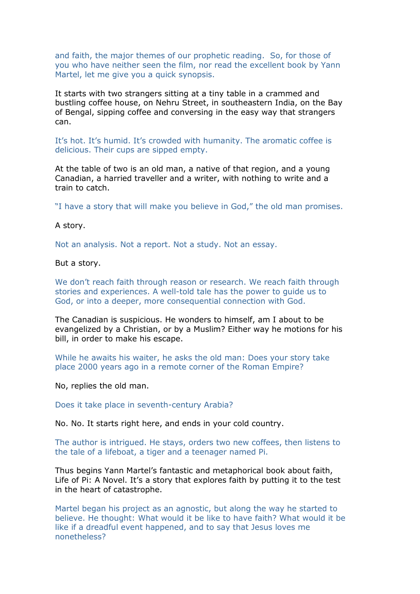and faith, the major themes of our prophetic reading. So, for those of you who have neither seen the film, nor read the excellent book by Yann Martel, let me give you a quick synopsis.

It starts with two strangers sitting at a tiny table in a crammed and bustling coffee house, on Nehru Street, in southeastern India, on the Bay of Bengal, sipping coffee and conversing in the easy way that strangers can.

It's hot. It's humid. It's crowded with humanity. The aromatic coffee is delicious. Their cups are sipped empty.

At the table of two is an old man, a native of that region, and a young Canadian, a harried traveller and a writer, with nothing to write and a train to catch.

"I have a story that will make you believe in God," the old man promises.

A story.

Not an analysis. Not a report. Not a study. Not an essay.

But a story.

We don't reach faith through reason or research. We reach faith through stories and experiences. A well-told tale has the power to guide us to God, or into a deeper, more consequential connection with God.

The Canadian is suspicious. He wonders to himself, am I about to be evangelized by a Christian, or by a Muslim? Either way he motions for his bill, in order to make his escape.

While he awaits his waiter, he asks the old man: Does your story take place 2000 years ago in a remote corner of the Roman Empire?

No, replies the old man.

Does it take place in seventh-century Arabia?

No. No. It starts right here, and ends in your cold country.

The author is intrigued. He stays, orders two new coffees, then listens to the tale of a lifeboat, a tiger and a teenager named Pi.

Thus begins Yann Martel's fantastic and metaphorical book about faith, Life of Pi: A Novel. It's a story that explores faith by putting it to the test in the heart of catastrophe.

Martel began his project as an agnostic, but along the way he started to believe. He thought: What would it be like to have faith? What would it be like if a dreadful event happened, and to say that Jesus loves me nonetheless?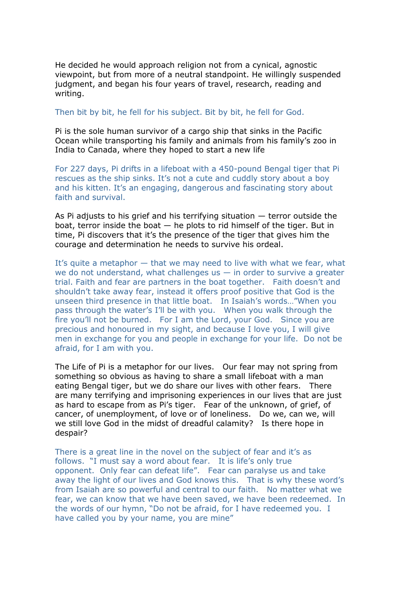He decided he would approach religion not from a cynical, agnostic viewpoint, but from more of a neutral standpoint. He willingly suspended judgment, and began his four years of travel, research, reading and writing.

Then bit by bit, he fell for his subject. Bit by bit, he fell for God.

Pi is the sole human survivor of a cargo ship that sinks in the Pacific Ocean while transporting his family and animals from his family's zoo in India to Canada, where they hoped to start a new life

For 227 days, Pi drifts in a lifeboat with a 450-pound Bengal tiger that Pi rescues as the ship sinks. It's not a cute and cuddly story about a boy and his kitten. It's an engaging, dangerous and fascinating story about faith and survival.

As Pi adjusts to his grief and his terrifying situation — terror outside the boat, terror inside the boat  $-$  he plots to rid himself of the tiger. But in time, Pi discovers that it's the presence of the tiger that gives him the courage and determination he needs to survive his ordeal.

It's quite a metaphor — that we may need to live with what we fear, what we do not understand, what challenges us  $-$  in order to survive a greater trial. Faith and fear are partners in the boat together. Faith doesn't and shouldn't take away fear, instead it offers proof positive that God is the unseen third presence in that little boat. In Isaiah's words…"When you pass through the water's I'll be with you. When you walk through the fire you'll not be burned. For I am the Lord, your God. Since you are precious and honoured in my sight, and because I love you, I will give men in exchange for you and people in exchange for your life. Do not be afraid, for I am with you.

The Life of Pi is a metaphor for our lives. Our fear may not spring from something so obvious as having to share a small lifeboat with a man eating Bengal tiger, but we do share our lives with other fears. There are many terrifying and imprisoning experiences in our lives that are just as hard to escape from as Pi's tiger. Fear of the unknown, of grief, of cancer, of unemployment, of love or of loneliness. Do we, can we, will we still love God in the midst of dreadful calamity? Is there hope in despair?

There is a great line in the novel on the subject of fear and it's as follows. "I must say a word about fear. It is life's only true opponent. Only fear can defeat life". Fear can paralyse us and take away the light of our lives and God knows this. That is why these word's from Isaiah are so powerful and central to our faith. No matter what we fear, we can know that we have been saved, we have been redeemed. In the words of our hymn, "Do not be afraid, for I have redeemed you. I have called you by your name, you are mine"